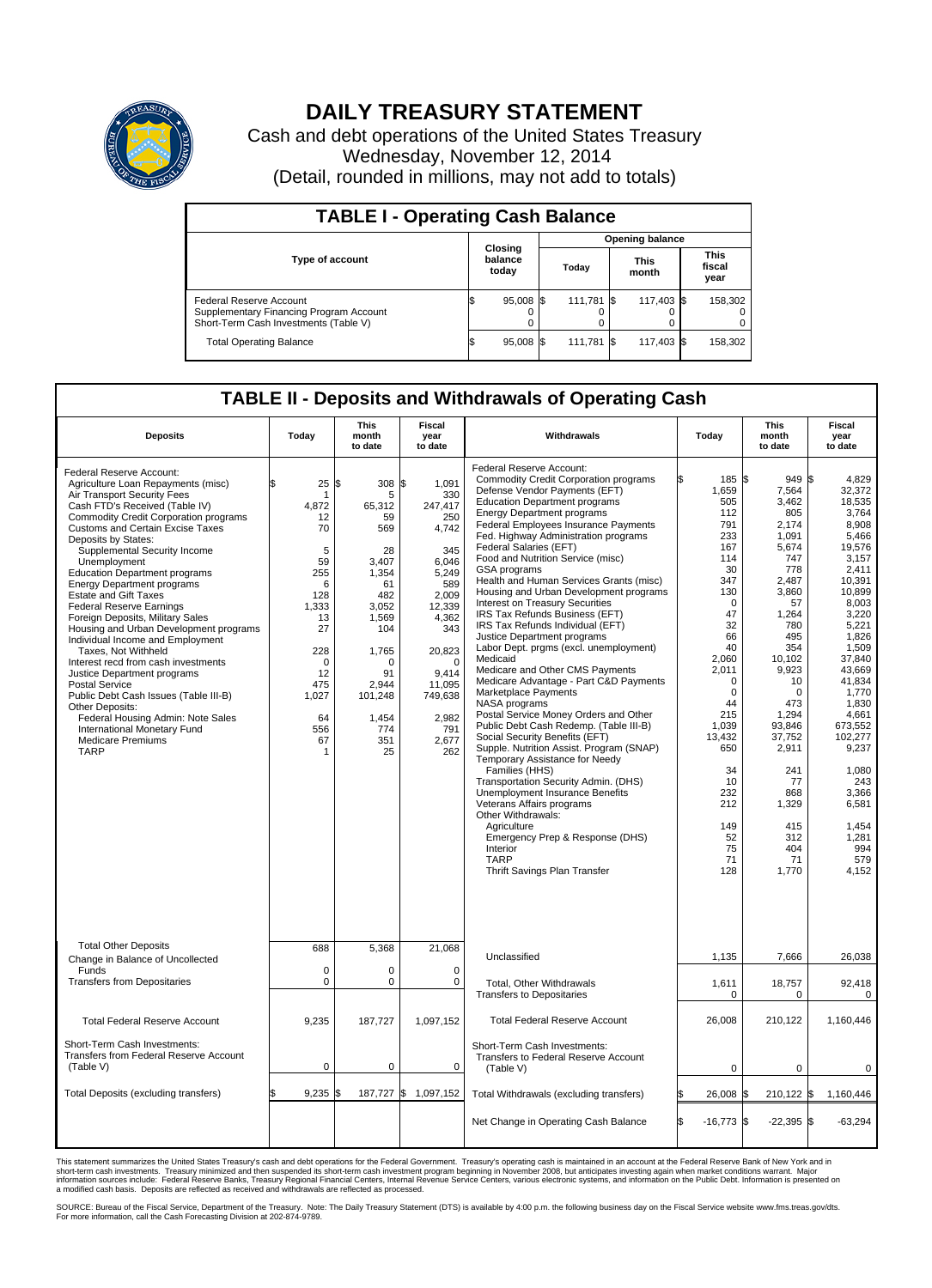

## **DAILY TREASURY STATEMENT**

Cash and debt operations of the United States Treasury Wednesday, November 12, 2014 (Detail, rounded in millions, may not add to totals)

| <b>TABLE I - Operating Cash Balance</b>                                                                            |     |                             |  |            |  |               |  |                               |  |  |
|--------------------------------------------------------------------------------------------------------------------|-----|-----------------------------|--|------------|--|---------------|--|-------------------------------|--|--|
| <b>Opening balance</b>                                                                                             |     |                             |  |            |  |               |  |                               |  |  |
| Type of account                                                                                                    |     | Closing<br>balance<br>today |  | Today      |  | This<br>month |  | <b>This</b><br>fiscal<br>year |  |  |
| <b>Federal Reserve Account</b><br>Supplementary Financing Program Account<br>Short-Term Cash Investments (Table V) |     | 95,008 \$                   |  | 111.781 \$ |  | 117,403 \$    |  | 158,302                       |  |  |
| <b>Total Operating Balance</b>                                                                                     | l\$ | 95,008 \$                   |  | 111,781 \$ |  | 117,403 \$    |  | 158,302                       |  |  |

## **TABLE II - Deposits and Withdrawals of Operating Cash**

| <b>Deposits</b>                                                                                                                                                                                                                                                                                                                                                                                                                                                                                                                                                                                                                                                                                                                                                                                                                                               | Today                                                                                                                                                | <b>This</b><br>month<br>to date                                                                                                                                           | <b>Fiscal</b><br>year<br>to date                                                                                                                                                                        | Withdrawals                                                                                                                                                                                                                                                                                                                                                                                                                                                                                                                                                                                                                                                                                                                                                                                                                                                                                                                                                                                                                                                                                                                                                                                                                           | Today                                                                                                                                                                                                                                                    | <b>This</b><br>month<br>to date                                                                                                                                                                                                                                                     | <b>Fiscal</b><br>year<br>to date                                                                                                                                                                                                                                                                                     |  |
|---------------------------------------------------------------------------------------------------------------------------------------------------------------------------------------------------------------------------------------------------------------------------------------------------------------------------------------------------------------------------------------------------------------------------------------------------------------------------------------------------------------------------------------------------------------------------------------------------------------------------------------------------------------------------------------------------------------------------------------------------------------------------------------------------------------------------------------------------------------|------------------------------------------------------------------------------------------------------------------------------------------------------|---------------------------------------------------------------------------------------------------------------------------------------------------------------------------|---------------------------------------------------------------------------------------------------------------------------------------------------------------------------------------------------------|---------------------------------------------------------------------------------------------------------------------------------------------------------------------------------------------------------------------------------------------------------------------------------------------------------------------------------------------------------------------------------------------------------------------------------------------------------------------------------------------------------------------------------------------------------------------------------------------------------------------------------------------------------------------------------------------------------------------------------------------------------------------------------------------------------------------------------------------------------------------------------------------------------------------------------------------------------------------------------------------------------------------------------------------------------------------------------------------------------------------------------------------------------------------------------------------------------------------------------------|----------------------------------------------------------------------------------------------------------------------------------------------------------------------------------------------------------------------------------------------------------|-------------------------------------------------------------------------------------------------------------------------------------------------------------------------------------------------------------------------------------------------------------------------------------|----------------------------------------------------------------------------------------------------------------------------------------------------------------------------------------------------------------------------------------------------------------------------------------------------------------------|--|
| Federal Reserve Account:<br>Agriculture Loan Repayments (misc)<br>Air Transport Security Fees<br>Cash FTD's Received (Table IV)<br><b>Commodity Credit Corporation programs</b><br>Customs and Certain Excise Taxes<br>Deposits by States:<br>Supplemental Security Income<br>Unemployment<br><b>Education Department programs</b><br><b>Energy Department programs</b><br><b>Estate and Gift Taxes</b><br><b>Federal Reserve Earnings</b><br>Foreign Deposits, Military Sales<br>Housing and Urban Development programs<br>Individual Income and Employment<br>Taxes, Not Withheld<br>Interest recd from cash investments<br>Justice Department programs<br><b>Postal Service</b><br>Public Debt Cash Issues (Table III-B)<br>Other Deposits:<br>Federal Housing Admin: Note Sales<br>International Monetary Fund<br><b>Medicare Premiums</b><br><b>TARP</b> | 25<br>-1<br>4,872<br>12<br>70<br>5<br>59<br>255<br>6<br>128<br>1.333<br>13<br>27<br>228<br>$\mathbf 0$<br>12<br>475<br>1,027<br>64<br>556<br>67<br>1 | 1\$<br>308<br>5<br>65,312<br>59<br>569<br>28<br>3,407<br>1,354<br>61<br>482<br>3.052<br>1,569<br>104<br>1,765<br>O<br>91<br>2,944<br>101,248<br>1,454<br>774<br>351<br>25 | 1,091<br>\$<br>330<br>247,417<br>250<br>4,742<br>345<br>6,046<br>5,249<br>589<br>2,009<br>12.339<br>4,362<br>343<br>20,823<br>$\mathbf 0$<br>9.414<br>11,095<br>749,638<br>2,982<br>791<br>2,677<br>262 | Federal Reserve Account:<br><b>Commodity Credit Corporation programs</b><br>Defense Vendor Payments (EFT)<br><b>Education Department programs</b><br><b>Energy Department programs</b><br>Federal Employees Insurance Payments<br>Fed. Highway Administration programs<br>Federal Salaries (EFT)<br>Food and Nutrition Service (misc)<br><b>GSA</b> programs<br>Health and Human Services Grants (misc)<br>Housing and Urban Development programs<br>Interest on Treasury Securities<br>IRS Tax Refunds Business (EFT)<br>IRS Tax Refunds Individual (EFT)<br>Justice Department programs<br>Labor Dept. prgms (excl. unemployment)<br>Medicaid<br>Medicare and Other CMS Payments<br>Medicare Advantage - Part C&D Payments<br>Marketplace Payments<br>NASA programs<br>Postal Service Money Orders and Other<br>Public Debt Cash Redemp. (Table III-B)<br>Social Security Benefits (EFT)<br>Supple. Nutrition Assist. Program (SNAP)<br>Temporary Assistance for Needy<br>Families (HHS)<br>Transportation Security Admin. (DHS)<br>Unemployment Insurance Benefits<br>Veterans Affairs programs<br>Other Withdrawals:<br>Agriculture<br>Emergency Prep & Response (DHS)<br>Interior<br><b>TARP</b><br>Thrift Savings Plan Transfer | 185 \$<br>1,659<br>505<br>112<br>791<br>233<br>167<br>114<br>30<br>347<br>130<br>$\mathbf 0$<br>47<br>32<br>66<br>40<br>2,060<br>2,011<br>$\Omega$<br>0<br>44<br>215<br>1.039<br>13,432<br>650<br>34<br>10<br>232<br>212<br>149<br>52<br>75<br>71<br>128 | $949$ \$<br>7,564<br>3,462<br>805<br>2,174<br>1,091<br>5,674<br>747<br>778<br>2.487<br>3,860<br>57<br>1,264<br>780<br>495<br>354<br>10,102<br>9,923<br>10<br>$\Omega$<br>473<br>1,294<br>93.846<br>37,752<br>2,911<br>241<br>77<br>868<br>1,329<br>415<br>312<br>404<br>71<br>1,770 | 4.829<br>32,372<br>18,535<br>3.764<br>8,908<br>5.466<br>19.576<br>3,157<br>2.411<br>10.391<br>10,899<br>8,003<br>3.220<br>5,221<br>1,826<br>1,509<br>37,840<br>43,669<br>41.834<br>1,770<br>1,830<br>4,661<br>673.552<br>102,277<br>9,237<br>1,080<br>243<br>3.366<br>6,581<br>1,454<br>1,281<br>994<br>579<br>4,152 |  |
| <b>Total Other Deposits</b>                                                                                                                                                                                                                                                                                                                                                                                                                                                                                                                                                                                                                                                                                                                                                                                                                                   | 688                                                                                                                                                  | 5,368                                                                                                                                                                     | 21,068                                                                                                                                                                                                  |                                                                                                                                                                                                                                                                                                                                                                                                                                                                                                                                                                                                                                                                                                                                                                                                                                                                                                                                                                                                                                                                                                                                                                                                                                       |                                                                                                                                                                                                                                                          |                                                                                                                                                                                                                                                                                     |                                                                                                                                                                                                                                                                                                                      |  |
| Change in Balance of Uncollected<br>Funds                                                                                                                                                                                                                                                                                                                                                                                                                                                                                                                                                                                                                                                                                                                                                                                                                     | $\mathbf 0$                                                                                                                                          | 0                                                                                                                                                                         | $\mathbf 0$                                                                                                                                                                                             | Unclassified                                                                                                                                                                                                                                                                                                                                                                                                                                                                                                                                                                                                                                                                                                                                                                                                                                                                                                                                                                                                                                                                                                                                                                                                                          | 1,135                                                                                                                                                                                                                                                    | 7,666                                                                                                                                                                                                                                                                               | 26,038                                                                                                                                                                                                                                                                                                               |  |
| <b>Transfers from Depositaries</b>                                                                                                                                                                                                                                                                                                                                                                                                                                                                                                                                                                                                                                                                                                                                                                                                                            | $\mathbf 0$                                                                                                                                          | 0                                                                                                                                                                         | 0                                                                                                                                                                                                       | Total, Other Withdrawals<br><b>Transfers to Depositaries</b>                                                                                                                                                                                                                                                                                                                                                                                                                                                                                                                                                                                                                                                                                                                                                                                                                                                                                                                                                                                                                                                                                                                                                                          | 1,611<br>$\mathbf 0$                                                                                                                                                                                                                                     | 18,757<br>0                                                                                                                                                                                                                                                                         | 92,418<br>$\mathbf 0$                                                                                                                                                                                                                                                                                                |  |
| <b>Total Federal Reserve Account</b>                                                                                                                                                                                                                                                                                                                                                                                                                                                                                                                                                                                                                                                                                                                                                                                                                          | 9,235                                                                                                                                                | 187,727                                                                                                                                                                   | 1,097,152                                                                                                                                                                                               | <b>Total Federal Reserve Account</b>                                                                                                                                                                                                                                                                                                                                                                                                                                                                                                                                                                                                                                                                                                                                                                                                                                                                                                                                                                                                                                                                                                                                                                                                  | 26.008                                                                                                                                                                                                                                                   | 210,122                                                                                                                                                                                                                                                                             | 1,160,446                                                                                                                                                                                                                                                                                                            |  |
| Short-Term Cash Investments:<br>Transfers from Federal Reserve Account<br>(Table V)                                                                                                                                                                                                                                                                                                                                                                                                                                                                                                                                                                                                                                                                                                                                                                           | $\pmb{0}$                                                                                                                                            | 0                                                                                                                                                                         | 0                                                                                                                                                                                                       | Short-Term Cash Investments:<br>Transfers to Federal Reserve Account<br>(Table V)                                                                                                                                                                                                                                                                                                                                                                                                                                                                                                                                                                                                                                                                                                                                                                                                                                                                                                                                                                                                                                                                                                                                                     | 0                                                                                                                                                                                                                                                        | 0                                                                                                                                                                                                                                                                                   | 0                                                                                                                                                                                                                                                                                                                    |  |
| Total Deposits (excluding transfers)                                                                                                                                                                                                                                                                                                                                                                                                                                                                                                                                                                                                                                                                                                                                                                                                                          | 9,235<br>\$                                                                                                                                          | 187,727 \$<br>\$                                                                                                                                                          | 1,097,152                                                                                                                                                                                               | Total Withdrawals (excluding transfers)                                                                                                                                                                                                                                                                                                                                                                                                                                                                                                                                                                                                                                                                                                                                                                                                                                                                                                                                                                                                                                                                                                                                                                                               | 26,008 \$                                                                                                                                                                                                                                                | 210,122 \$                                                                                                                                                                                                                                                                          | 1,160,446                                                                                                                                                                                                                                                                                                            |  |
|                                                                                                                                                                                                                                                                                                                                                                                                                                                                                                                                                                                                                                                                                                                                                                                                                                                               |                                                                                                                                                      |                                                                                                                                                                           |                                                                                                                                                                                                         | Net Change in Operating Cash Balance                                                                                                                                                                                                                                                                                                                                                                                                                                                                                                                                                                                                                                                                                                                                                                                                                                                                                                                                                                                                                                                                                                                                                                                                  | ß.<br>$-16,773$ \$                                                                                                                                                                                                                                       | $-22,395$ \$                                                                                                                                                                                                                                                                        | $-63,294$                                                                                                                                                                                                                                                                                                            |  |

This statement summarizes the United States Treasury's cash and debt operations for the Federal Government. Treasury's operating cash is maintained in an account at the Federal Reserve Bank of New York and in<br>short-term ca

SOURCE: Bureau of the Fiscal Service, Department of the Treasury. Note: The Daily Treasury Statement (DTS) is available by 4:00 p.m. the following business day on the Fiscal Service website www.fms.treas.gov/dts.<br>For more